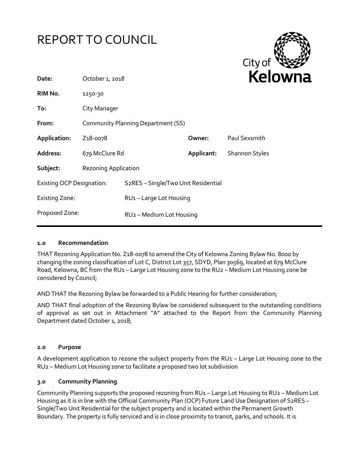



| Date:                            | October 1, 2018                    |                                                  |            | ren                   |
|----------------------------------|------------------------------------|--------------------------------------------------|------------|-----------------------|
| RIM No.                          | 1250-30                            |                                                  |            |                       |
| To:                              | City Manager                       |                                                  |            |                       |
| From:                            | Community Planning Department (SS) |                                                  |            |                       |
| Application:                     | Z <sub>1</sub> 8-0078              |                                                  | Owner:     | Paul Sexsmith         |
| Address:                         | 679 McClure Rd                     |                                                  | Applicant: | <b>Shannon Styles</b> |
| Subject:                         | <b>Rezoning Application</b>        |                                                  |            |                       |
| <b>Existing OCP Designation:</b> |                                    | S <sub>2</sub> RES - Single/Two Unit Residential |            |                       |
| <b>Existing Zone:</b>            |                                    | RU1-Large Lot Housing                            |            |                       |
| Proposed Zone:                   |                                    | RU <sub>2</sub> - Medium Lot Housing             |            |                       |
|                                  |                                    |                                                  |            |                       |

### **1.0 Recommendation**

THAT Rezoning Application No. Z18-0078 to amend the City of Kelowna Zoning Bylaw No. 8000 by changing the zoning classification of Lot C, District Lot 357, SDYD, Plan 30569, located at 679 McClure Road, Kelowna, BC from the RU1 – Large Lot Housing zone to the RU2 – Medium Lot Housing zone be considered by Council;

AND THAT the Rezoning Bylaw be forwarded to a Public Hearing for further consideration;

AND THAT final adoption of the Rezoning Bylaw be considered subsequent to the outstanding conditions of approval as set out in Attachment "A" attached to the Report from the Community Planning Department dated October 1, 2018;

#### **2.0 Purpose**

A development application to rezone the subject property from the RU1 - Large Lot Housing zone to the RU2 – Medium Lot Housing zone to facilitate a proposed two lot subdivision

#### **3.0 Community Planning**

Community Planning supports the proposed rezoning from RU1 – Large Lot Housing to RU2 – Medium Lot Housing as it is in line with the Official Community Plan (OCP) Future Land Use Designation of S2RES – Single/Two Unit Residential for the subject property and is located within the Permanent Growth Boundary. The property is fully serviced and is in close proximity to transit, parks, and schools. It is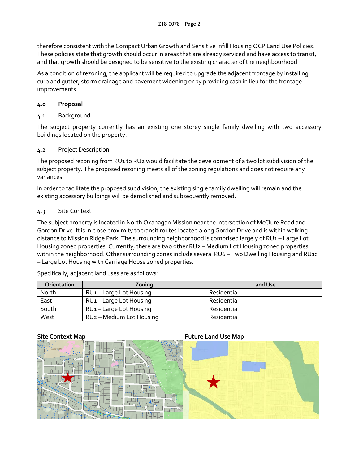therefore consistent with the Compact Urban Growth and Sensitive Infill Housing OCP Land Use Policies. These policies state that growth should occur in areas that are already serviced and have access to transit, and that growth should be designed to be sensitive to the existing character of the neighbourhood.

As a condition of rezoning, the applicant will be required to upgrade the adjacent frontage by installing curb and gutter, storm drainage and pavement widening or by providing cash in lieu for the frontage improvements.

# **4.0 Proposal**

4.1 Background

The subject property currently has an existing one storey single family dwelling with two accessory buildings located on the property.

# 4.2 Project Description

The proposed rezoning from RU1 to RU2 would facilitate the development of a two lot subdivision of the subject property. The proposed rezoning meets all of the zoning regulations and does not require any variances.

In order to facilitate the proposed subdivision, the existing single family dwelling will remain and the existing accessory buildings will be demolished and subsequently removed.

# 4.3 Site Context

The subject property is located in North Okanagan Mission near the intersection of McClure Road and Gordon Drive. It is in close proximity to transit routes located along Gordon Drive and is within walking distance to Mission Ridge Park. The surrounding neighborhood is comprised largely of RU1 – Large Lot Housing zoned properties. Currently, there are two other RU2 – Medium Lot Housing zoned properties within the neighborhood. Other surrounding zones include several RU6 – Two Dwelling Housing and RU1c – Large Lot Housing with Carriage House zoned properties.

Specifically, adjacent land uses are as follows:

| <b>Orientation</b> | Zoning                               | <b>Land Use</b> |
|--------------------|--------------------------------------|-----------------|
| North              | RU <sub>1</sub> – Large Lot Housing  | Residential     |
| East               | RU <sub>1</sub> – Large Lot Housing  | Residential     |
| South              | RU <sub>1</sub> – Large Lot Housing  | Residential     |
| West               | RU <sub>2</sub> – Medium Lot Housing | Residential     |

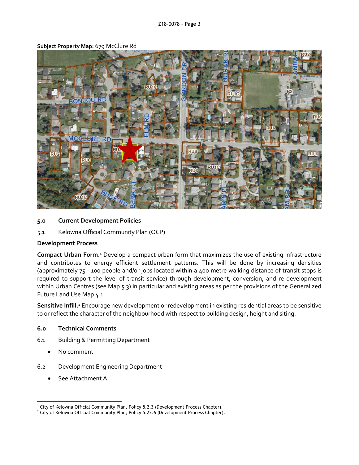

#### **Subject Property Map:** 679 McClure Rd

#### **5.0 Current Development Policies**

5.1 Kelowna Official Community Plan (OCP)

# **Development Process**

**Compact Urban Form.**<sup>1</sup> Develop a compact urban form that maximizes the use of existing infrastructure and contributes to energy efficient settlement patterns. This will be done by increasing densities (approximately 75 - 100 people and/or jobs located within a 400 metre walking distance of transit stops is required to support the level of transit service) through development, conversion, and re-development within Urban Centres (see Map 5.3) in particular and existing areas as per the provisions of the Generalized Future Land Use Map 4.1.

**Sensitive Infill.**<sup>2</sup> Encourage new development or redevelopment in existing residential areas to be sensitive to or reflect the character of the neighbourhood with respect to building design, height and siting.

# **6.0 Technical Comments**

- 6.1 Building & Permitting Department
	- No comment
- 6.2 Development Engineering Department
	- See Attachment A.

<sup>-</sup><sup>1</sup> City of Kelowna Official Community Plan, Policy 5.2.3 (Development Process Chapter).

<sup>&</sup>lt;sup>2</sup> City of Kelowna Official Community Plan, Policy 5.22.6 (Development Process Chapter).